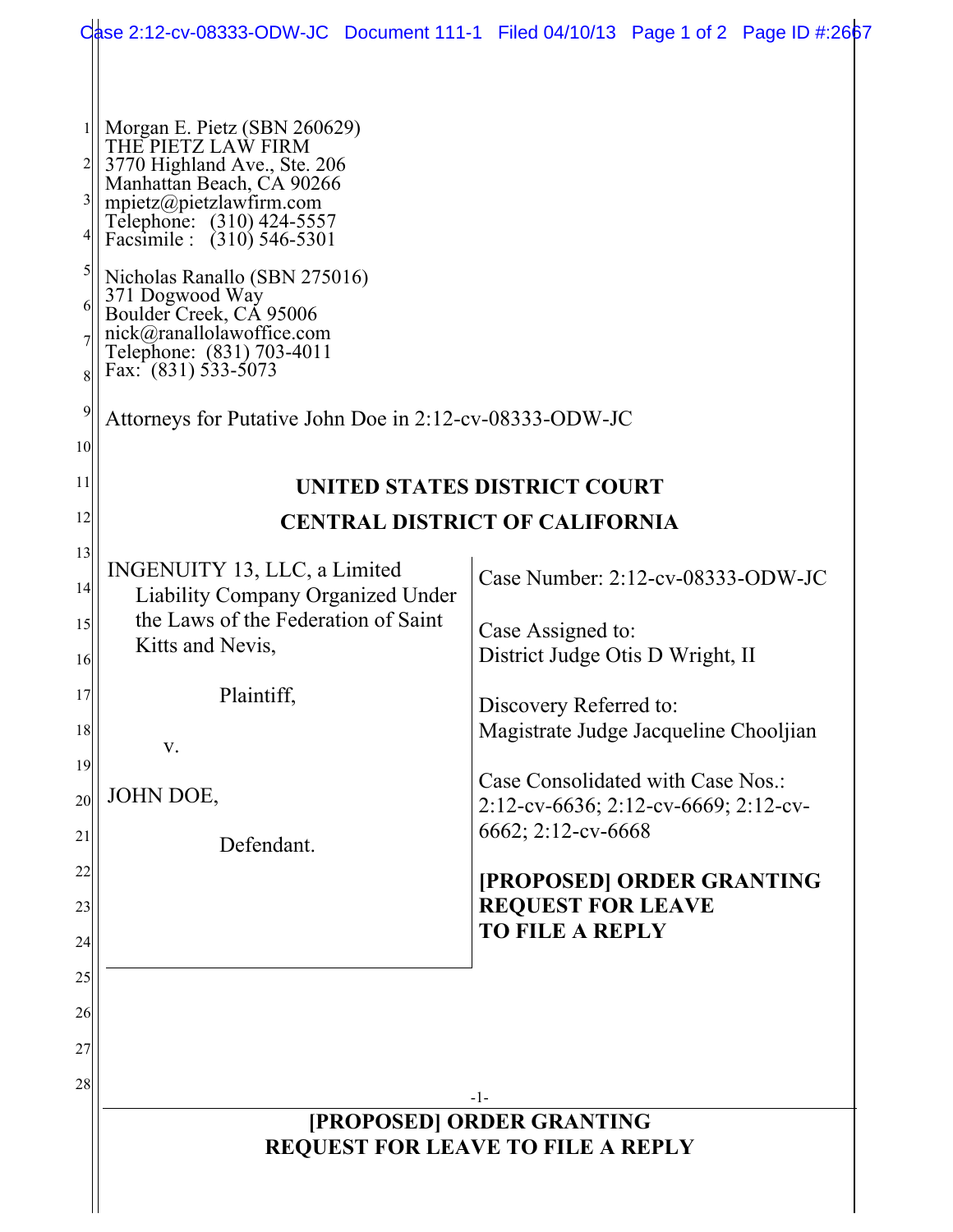|                                                                    |                                                                                                                                                                                                                                                                                                                                                                                                                                    | Case 2:12-cv-08333-ODW-JC Document 111-1 Filed 04/10/13 Page 1 of 2 Page ID #:2667              |  |
|--------------------------------------------------------------------|------------------------------------------------------------------------------------------------------------------------------------------------------------------------------------------------------------------------------------------------------------------------------------------------------------------------------------------------------------------------------------------------------------------------------------|-------------------------------------------------------------------------------------------------|--|
| 3<br>$\mathfrak{S}$<br>6<br>8<br>$\overline{9}$<br>10 <sup>1</sup> | Morgan E. Pietz (SBN 260629)<br>THE PIETZ LAW FIRM<br>3770 Highland Ave., Ste. 206<br>Manhattan Beach, CA 90266<br>mpietz@pietzlawfirm.com<br>Telephone: (310) 424-5557<br>Facsimile : (310) 546-5301<br>Nicholas Ranallo (SBN 275016)<br>371 Dogwood Way<br>Boulder Creek, CÁ 95006<br>nick@ranallolawoffice.com<br>Telephone: (831) 703-4011<br>Fax: $(831)$ 533-5073<br>Attorneys for Putative John Doe in 2:12-cv-08333-ODW-JC |                                                                                                 |  |
| 11                                                                 | UNITED STATES DISTRICT COURT                                                                                                                                                                                                                                                                                                                                                                                                       |                                                                                                 |  |
| 12                                                                 | <b>CENTRAL DISTRICT OF CALIFORNIA</b>                                                                                                                                                                                                                                                                                                                                                                                              |                                                                                                 |  |
| 13<br>14                                                           | INGENUITY 13, LLC, a Limited<br><b>Liability Company Organized Under</b>                                                                                                                                                                                                                                                                                                                                                           | Case Number: 2:12-cv-08333-ODW-JC                                                               |  |
| 15<br>16                                                           | the Laws of the Federation of Saint<br>Kitts and Nevis,                                                                                                                                                                                                                                                                                                                                                                            | Case Assigned to:<br>District Judge Otis D Wright, II                                           |  |
| 17<br>18                                                           | Plaintiff,<br>V.                                                                                                                                                                                                                                                                                                                                                                                                                   | Discovery Referred to:<br>Magistrate Judge Jacqueline Chooljian                                 |  |
| 19<br>20<br>21                                                     | JOHN DOE,<br>Defendant.                                                                                                                                                                                                                                                                                                                                                                                                            | Case Consolidated with Case Nos.:<br>2:12-cv-6636; 2:12-cv-6669; 2:12-cv-<br>6662; 2:12-cv-6668 |  |
| 22<br>23<br>24                                                     |                                                                                                                                                                                                                                                                                                                                                                                                                                    | [PROPOSED] ORDER GRANTING<br><b>REQUEST FOR LEAVE</b><br><b>TO FILE A REPLY</b>                 |  |
| 25<br>26<br>27                                                     |                                                                                                                                                                                                                                                                                                                                                                                                                                    |                                                                                                 |  |
| 28                                                                 | -1-<br>[PROPOSED] ORDER GRANTING<br><b>REQUEST FOR LEAVE TO FILE A REPLY</b>                                                                                                                                                                                                                                                                                                                                                       |                                                                                                 |  |